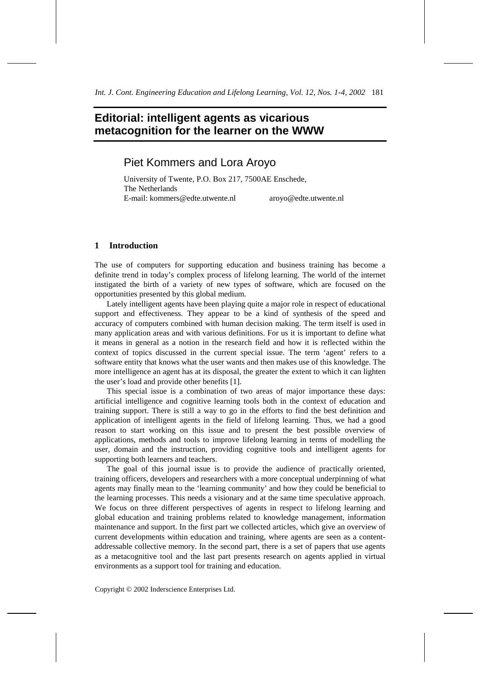# **Editorial: intelligent agents as vicarious metacognition for the learner on the WWW**

# Piet Kommers and Lora Aroyo

University of Twente, P.O. Box 217, 7500AE Enschede, The Netherlands E-mail: kommers@edte.utwente.nl aroyo@edte.utwente.nl

### **1 Introduction**

The use of computers for supporting education and business training has become a definite trend in today's complex process of lifelong learning. The world of the internet instigated the birth of a variety of new types of software, which are focused on the opportunities presented by this global medium.

Lately intelligent agents have been playing quite a major role in respect of educational support and effectiveness. They appear to be a kind of synthesis of the speed and accuracy of computers combined with human decision making. The term itself is used in many application areas and with various definitions. For us it is important to define what it means in general as a notion in the research field and how it is reflected within the context of topics discussed in the current special issue. The term 'agent' refers to a software entity that knows what the user wants and then makes use of this knowledge. The more intelligence an agent has at its disposal, the greater the extent to which it can lighten the user's load and provide other benefits [1].

This special issue is a combination of two areas of major importance these days: artificial intelligence and cognitive learning tools both in the context of education and training support. There is still a way to go in the efforts to find the best definition and application of intelligent agents in the field of lifelong learning. Thus, we had a good reason to start working on this issue and to present the best possible overview of applications, methods and tools to improve lifelong learning in terms of modelling the user, domain and the instruction, providing cognitive tools and intelligent agents for supporting both learners and teachers.

The goal of this journal issue is to provide the audience of practically oriented, training officers, developers and researchers with a more conceptual underpinning of what agents may finally mean to the 'learning community' and how they could be beneficial to the learning processes. This needs a visionary and at the same time speculative approach. We focus on three different perspectives of agents in respect to lifelong learning and global education and training problems related to knowledge management, information maintenance and support. In the first part we collected articles, which give an overview of current developments within education and training, where agents are seen as a contentaddressable collective memory. In the second part, there is a set of papers that use agents as a metacognitive tool and the last part presents research on agents applied in virtual environments as a support tool for training and education.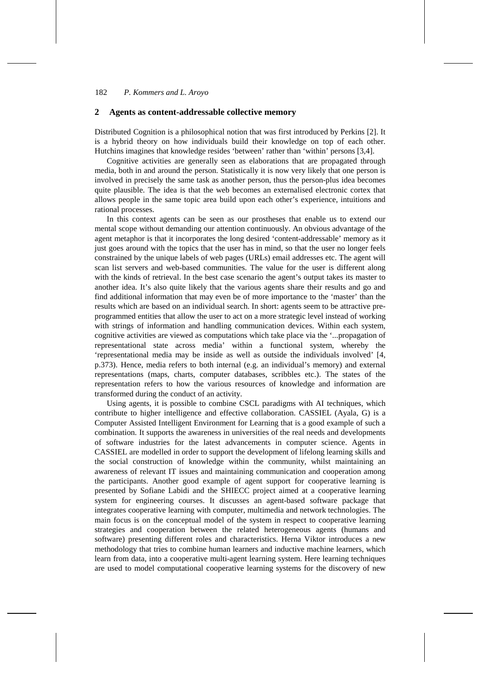#### **2 Agents as content-addressable collective memory**

Distributed Cognition is a philosophical notion that was first introduced by Perkins [2]. It is a hybrid theory on how individuals build their knowledge on top of each other. Hutchins imagines that knowledge resides 'between' rather than 'within' persons [3,4].

Cognitive activities are generally seen as elaborations that are propagated through media, both in and around the person. Statistically it is now very likely that one person is involved in precisely the same task as another person, thus the person-plus idea becomes quite plausible. The idea is that the web becomes an externalised electronic cortex that allows people in the same topic area build upon each other's experience, intuitions and rational processes.

In this context agents can be seen as our prostheses that enable us to extend our mental scope without demanding our attention continuously. An obvious advantage of the agent metaphor is that it incorporates the long desired 'content-addressable' memory as it just goes around with the topics that the user has in mind, so that the user no longer feels constrained by the unique labels of web pages (URLs) email addresses etc. The agent will scan list servers and web-based communities. The value for the user is different along with the kinds of retrieval. In the best case scenario the agent's output takes its master to another idea. It's also quite likely that the various agents share their results and go and find additional information that may even be of more importance to the 'master' than the results which are based on an individual search. In short: agents seem to be attractive preprogrammed entities that allow the user to act on a more strategic level instead of working with strings of information and handling communication devices. Within each system, cognitive activities are viewed as computations which take place via the '...propagation of representational state across media' within a functional system, whereby the 'representational media may be inside as well as outside the individuals involved' [4, p.373). Hence, media refers to both internal (e.g. an individual's memory) and external representations (maps, charts, computer databases, scribbles etc.). The states of the representation refers to how the various resources of knowledge and information are transformed during the conduct of an activity.

Using agents, it is possible to combine CSCL paradigms with AI techniques, which contribute to higher intelligence and effective collaboration. CASSIEL (Ayala, G) is a Computer Assisted Intelligent Environment for Learning that is a good example of such a combination. It supports the awareness in universities of the real needs and developments of software industries for the latest advancements in computer science. Agents in CASSIEL are modelled in order to support the development of lifelong learning skills and the social construction of knowledge within the community, whilst maintaining an awareness of relevant IT issues and maintaining communication and cooperation among the participants. Another good example of agent support for cooperative learning is presented by Sofiane Labidi and the SHIECC project aimed at a cooperative learning system for engineering courses. It discusses an agent-based software package that integrates cooperative learning with computer, multimedia and network technologies. The main focus is on the conceptual model of the system in respect to cooperative learning strategies and cooperation between the related heterogeneous agents (humans and software) presenting different roles and characteristics. Herna Viktor introduces a new methodology that tries to combine human learners and inductive machine learners, which learn from data, into a cooperative multi-agent learning system. Here learning techniques are used to model computational cooperative learning systems for the discovery of new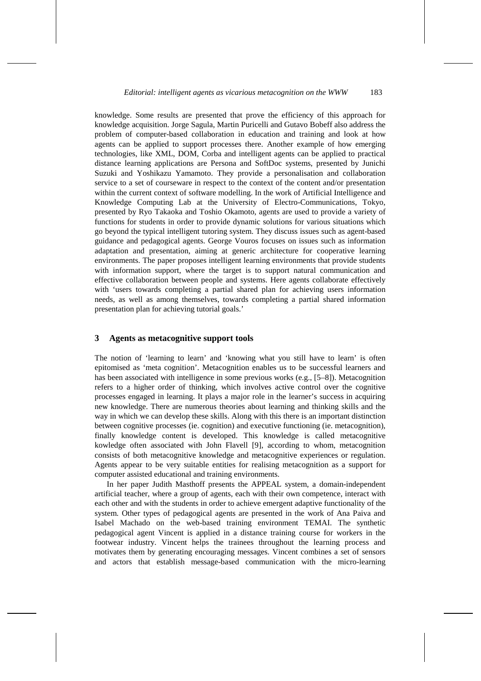knowledge. Some results are presented that prove the efficiency of this approach for knowledge acquisition. Jorge Sagula, Martin Puricelli and Gutavo Bobeff also address the problem of computer-based collaboration in education and training and look at how agents can be applied to support processes there. Another example of how emerging technologies, like XML, DOM, Corba and intelligent agents can be applied to practical distance learning applications are Persona and SoftDoc systems, presented by Junichi Suzuki and Yoshikazu Yamamoto. They provide a personalisation and collaboration service to a set of courseware in respect to the context of the content and/or presentation within the current context of software modelling. In the work of Artificial Intelligence and Knowledge Computing Lab at the University of Electro-Communications, Tokyo, presented by Ryo Takaoka and Toshio Okamoto, agents are used to provide a variety of functions for students in order to provide dynamic solutions for various situations which go beyond the typical intelligent tutoring system. They discuss issues such as agent-based guidance and pedagogical agents. George Vouros focuses on issues such as information adaptation and presentation, aiming at generic architecture for cooperative learning environments. The paper proposes intelligent learning environments that provide students with information support, where the target is to support natural communication and effective collaboration between people and systems. Here agents collaborate effectively with 'users towards completing a partial shared plan for achieving users information needs, as well as among themselves, towards completing a partial shared information presentation plan for achieving tutorial goals.'

#### **3 Agents as metacognitive support tools**

The notion of 'learning to learn' and 'knowing what you still have to learn' is often epitomised as 'meta cognition'. Metacognition enables us to be successful learners and has been associated with intelligence in some previous works (e.g., [5–8]). Metacognition refers to a higher order of thinking, which involves active control over the cognitive processes engaged in learning. It plays a major role in the learner's success in acquiring new knowledge. There are numerous theories about learning and thinking skills and the way in which we can develop these skills. Along with this there is an important distinction between cognitive processes (ie. cognition) and executive functioning (ie. metacognition), finally knowledge content is developed. This knowledge is called metacognitive kowledge often associated with John Flavell [9], according to whom, metacognition consists of both metacognitive knowledge and metacognitive experiences or regulation. Agents appear to be very suitable entities for realising metacognition as a support for computer assisted educational and training environments.

In her paper Judith Masthoff presents the APPEAL system, a domain-independent artificial teacher, where a group of agents, each with their own competence, interact with each other and with the students in order to achieve emergent adaptive functionality of the system. Other types of pedagogical agents are presented in the work of Ana Paiva and Isabel Machado on the web-based training environment TEMAI. The synthetic pedagogical agent Vincent is applied in a distance training course for workers in the footwear industry. Vincent helps the trainees throughout the learning process and motivates them by generating encouraging messages. Vincent combines a set of sensors and actors that establish message-based communication with the micro-learning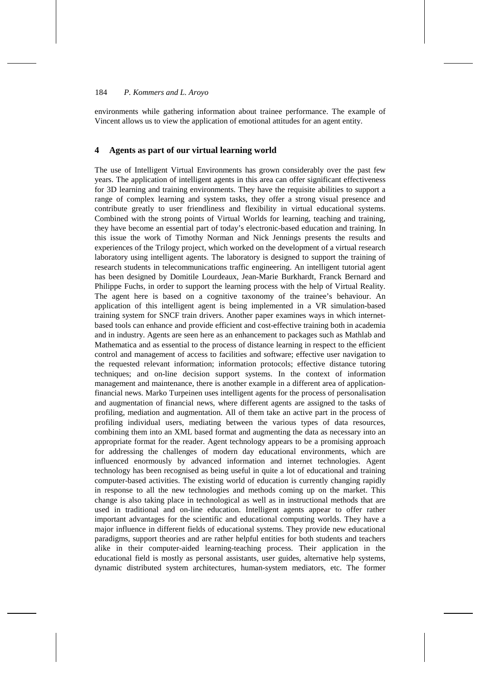environments while gathering information about trainee performance. The example of Vincent allows us to view the application of emotional attitudes for an agent entity.

## **4 Agents as part of our virtual learning world**

The use of Intelligent Virtual Environments has grown considerably over the past few years. The application of intelligent agents in this area can offer significant effectiveness for 3D learning and training environments. They have the requisite abilities to support a range of complex learning and system tasks, they offer a strong visual presence and contribute greatly to user friendliness and flexibility in virtual educational systems. Combined with the strong points of Virtual Worlds for learning, teaching and training, they have become an essential part of today's electronic-based education and training. In this issue the work of Timothy Norman and Nick Jennings presents the results and experiences of the Trilogy project, which worked on the development of a virtual research laboratory using intelligent agents. The laboratory is designed to support the training of research students in telecommunications traffic engineering. An intelligent tutorial agent has been designed by Domitile Lourdeaux, Jean-Marie Burkhardt, Franck Bernard and Philippe Fuchs, in order to support the learning process with the help of Virtual Reality. The agent here is based on a cognitive taxonomy of the trainee's behaviour. An application of this intelligent agent is being implemented in a VR simulation-based training system for SNCF train drivers. Another paper examines ways in which internetbased tools can enhance and provide efficient and cost-effective training both in academia and in industry. Agents are seen here as an enhancement to packages such as Mathlab and Mathematica and as essential to the process of distance learning in respect to the efficient control and management of access to facilities and software; effective user navigation to the requested relevant information; information protocols; effective distance tutoring techniques; and on-line decision support systems. In the context of information management and maintenance, there is another example in a different area of applicationfinancial news. Marko Turpeinen uses intelligent agents for the process of personalisation and augmentation of financial news, where different agents are assigned to the tasks of profiling, mediation and augmentation. All of them take an active part in the process of profiling individual users, mediating between the various types of data resources, combining them into an XML based format and augmenting the data as necessary into an appropriate format for the reader. Agent technology appears to be a promising approach for addressing the challenges of modern day educational environments, which are influenced enormously by advanced information and internet technologies. Agent technology has been recognised as being useful in quite a lot of educational and training computer-based activities. The existing world of education is currently changing rapidly in response to all the new technologies and methods coming up on the market. This change is also taking place in technological as well as in instructional methods that are used in traditional and on-line education. Intelligent agents appear to offer rather important advantages for the scientific and educational computing worlds. They have a major influence in different fields of educational systems. They provide new educational paradigms, support theories and are rather helpful entities for both students and teachers alike in their computer-aided learning-teaching process. Their application in the educational field is mostly as personal assistants, user guides, alternative help systems, dynamic distributed system architectures, human-system mediators, etc. The former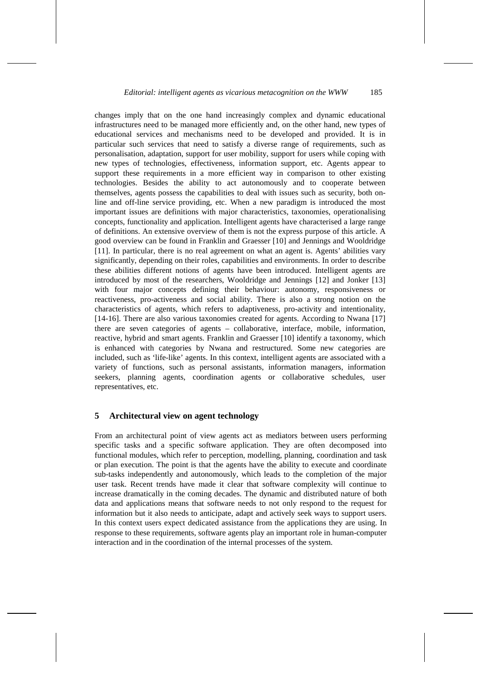changes imply that on the one hand increasingly complex and dynamic educational infrastructures need to be managed more efficiently and, on the other hand, new types of educational services and mechanisms need to be developed and provided. It is in particular such services that need to satisfy a diverse range of requirements, such as personalisation, adaptation, support for user mobility, support for users while coping with new types of technologies, effectiveness, information support, etc. Agents appear to support these requirements in a more efficient way in comparison to other existing technologies. Besides the ability to act autonomously and to cooperate between themselves, agents possess the capabilities to deal with issues such as security, both online and off-line service providing, etc. When a new paradigm is introduced the most important issues are definitions with major characteristics, taxonomies, operationalising concepts, functionality and application. Intelligent agents have characterised a large range of definitions. An extensive overview of them is not the express purpose of this article. A good overview can be found in Franklin and Graesser [10] and Jennings and Wooldridge [11]. In particular, there is no real agreement on what an agent is. Agents' abilities vary significantly, depending on their roles, capabilities and environments. In order to describe these abilities different notions of agents have been introduced. Intelligent agents are introduced by most of the researchers, Wooldridge and Jennings [12] and Jonker [13] with four major concepts defining their behaviour: autonomy, responsiveness or reactiveness, pro-activeness and social ability. There is also a strong notion on the characteristics of agents, which refers to adaptiveness, pro-activity and intentionality, [14-16]. There are also various taxonomies created for agents. According to Nwana [17] there are seven categories of agents – collaborative, interface, mobile, information, reactive, hybrid and smart agents. Franklin and Graesser [10] identify a taxonomy, which is enhanced with categories by Nwana and restructured. Some new categories are included, such as 'life-like' agents. In this context, intelligent agents are associated with a variety of functions, such as personal assistants, information managers, information seekers, planning agents, coordination agents or collaborative schedules, user representatives, etc.

## **5 Architectural view on agent technology**

From an architectural point of view agents act as mediators between users performing specific tasks and a specific software application. They are often decomposed into functional modules, which refer to perception, modelling, planning, coordination and task or plan execution. The point is that the agents have the ability to execute and coordinate sub-tasks independently and autonomously, which leads to the completion of the major user task. Recent trends have made it clear that software complexity will continue to increase dramatically in the coming decades. The dynamic and distributed nature of both data and applications means that software needs to not only respond to the request for information but it also needs to anticipate, adapt and actively seek ways to support users. In this context users expect dedicated assistance from the applications they are using. In response to these requirements, software agents play an important role in human-computer interaction and in the coordination of the internal processes of the system.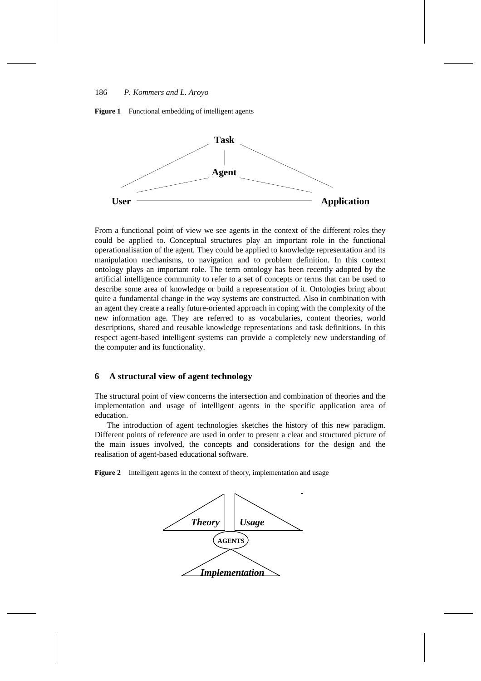



From a functional point of view we see agents in the context of the different roles they could be applied to. Conceptual structures play an important role in the functional operationalisation of the agent. They could be applied to knowledge representation and its manipulation mechanisms, to navigation and to problem definition. In this context ontology plays an important role. The term ontology has been recently adopted by the artificial intelligence community to refer to a set of concepts or terms that can be used to describe some area of knowledge or build a representation of it. Ontologies bring about quite a fundamental change in the way systems are constructed. Also in combination with an agent they create a really future-oriented approach in coping with the complexity of the new information age. They are referred to as vocabularies, content theories, world descriptions, shared and reusable knowledge representations and task definitions. In this respect agent-based intelligent systems can provide a completely new understanding of the computer and its functionality.

# **6 A structural view of agent technology**

The structural point of view concerns the intersection and combination of theories and the implementation and usage of intelligent agents in the specific application area of education.

The introduction of agent technologies sketches the history of this new paradigm. Different points of reference are used in order to present a clear and structured picture of the main issues involved, the concepts and considerations for the design and the realisation of agent-based educational software.

**Figure 2** Intelligent agents in the context of theory, implementation and usage

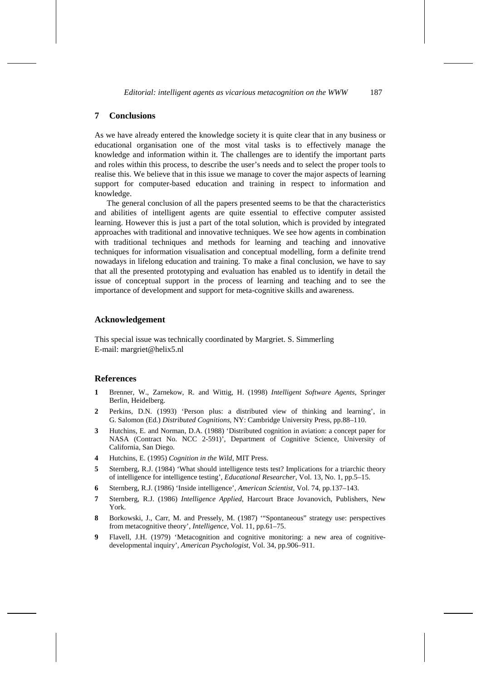# **7 Conclusions**

As we have already entered the knowledge society it is quite clear that in any business or educational organisation one of the most vital tasks is to effectively manage the knowledge and information within it. The challenges are to identify the important parts and roles within this process, to describe the user's needs and to select the proper tools to realise this. We believe that in this issue we manage to cover the major aspects of learning support for computer-based education and training in respect to information and knowledge.

The general conclusion of all the papers presented seems to be that the characteristics and abilities of intelligent agents are quite essential to effective computer assisted learning. However this is just a part of the total solution, which is provided by integrated approaches with traditional and innovative techniques. We see how agents in combination with traditional techniques and methods for learning and teaching and innovative techniques for information visualisation and conceptual modelling, form a definite trend nowadays in lifelong education and training. To make a final conclusion, we have to say that all the presented prototyping and evaluation has enabled us to identify in detail the issue of conceptual support in the process of learning and teaching and to see the importance of development and support for meta-cognitive skills and awareness.

#### **Acknowledgement**

This special issue was technically coordinated by Margriet. S. Simmerling E-mail: margriet@helix5.nl

### **References**

- **1** Brenner, W., Zarnekow, R. and Wittig, H. (1998) *Intelligent Software Agents*, Springer Berlin, Heidelberg.
- **2** Perkins, D.N. (1993) 'Person plus: a distributed view of thinking and learning', in G. Salomon (Ed.) *Distributed Cognitions*, NY: Cambridge University Press, pp.88–110.
- **3** Hutchins, E. and Norman, D.A. (1988) 'Distributed cognition in aviation: a concept paper for NASA (Contract No. NCC 2-591)', Department of Cognitive Science, University of California, San Diego.
- **4** Hutchins, E. (1995) *Cognition in the Wild*, MIT Press.
- **5** Sternberg, R.J. (1984) 'What should intelligence tests test? Implications for a triarchic theory of intelligence for intelligence testing', *Educational Researcher*, Vol. 13, No. 1, pp.5–15.
- **6** Sternberg, R.J. (1986) 'Inside intelligence', *American Scientist*, Vol. 74, pp.137–143.
- **7** Sternberg, R.J. (1986) *Intelligence Applied*, Harcourt Brace Jovanovich, Publishers, New York.
- **8** Borkowski, J., Carr, M. and Pressely, M. (1987) '"Spontaneous" strategy use: perspectives from metacognitive theory', *Intelligence*, Vol. 11, pp.61–75.
- **9** Flavell, J.H. (1979) 'Metacognition and cognitive monitoring: a new area of cognitivedevelopmental inquiry', *American Psychologist*, Vol. 34, pp.906–911.